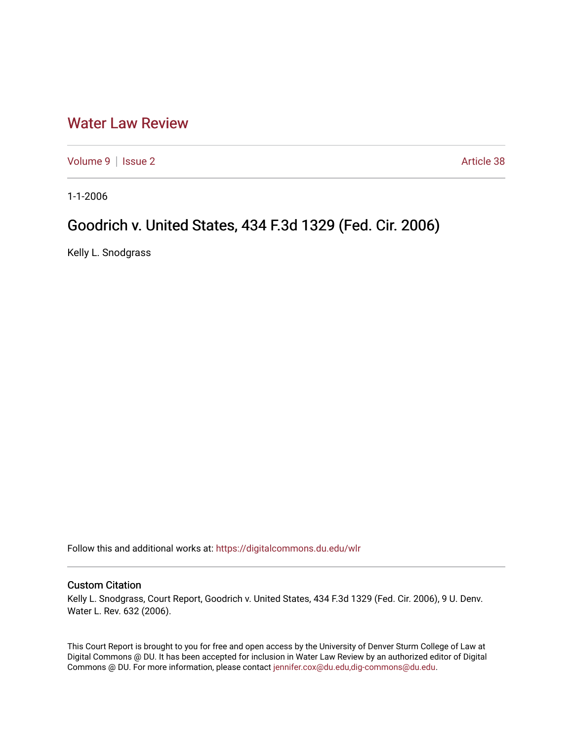## [Water Law Review](https://digitalcommons.du.edu/wlr)

[Volume 9](https://digitalcommons.du.edu/wlr/vol9) | [Issue 2](https://digitalcommons.du.edu/wlr/vol9/iss2) Article 38

1-1-2006

## Goodrich v. United States, 434 F.3d 1329 (Fed. Cir. 2006)

Kelly L. Snodgrass

Follow this and additional works at: [https://digitalcommons.du.edu/wlr](https://digitalcommons.du.edu/wlr?utm_source=digitalcommons.du.edu%2Fwlr%2Fvol9%2Fiss2%2F38&utm_medium=PDF&utm_campaign=PDFCoverPages) 

## Custom Citation

Kelly L. Snodgrass, Court Report, Goodrich v. United States, 434 F.3d 1329 (Fed. Cir. 2006), 9 U. Denv. Water L. Rev. 632 (2006).

This Court Report is brought to you for free and open access by the University of Denver Sturm College of Law at Digital Commons @ DU. It has been accepted for inclusion in Water Law Review by an authorized editor of Digital Commons @ DU. For more information, please contact [jennifer.cox@du.edu,dig-commons@du.edu.](mailto:jennifer.cox@du.edu,dig-commons@du.edu)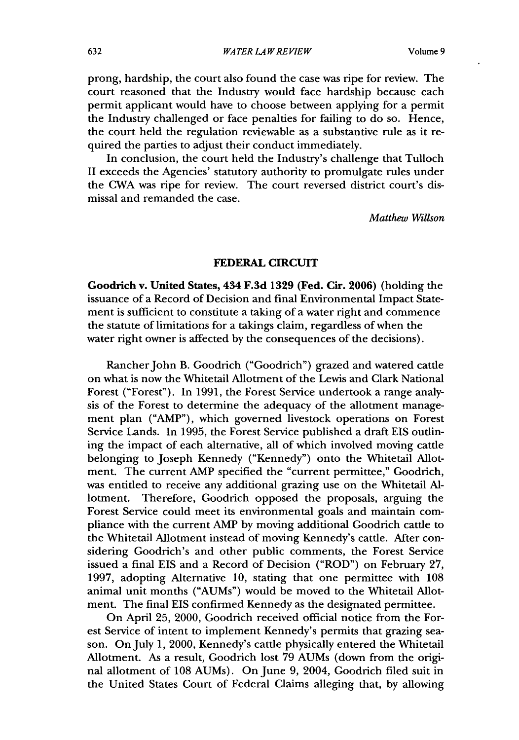prong, hardship, the court also found the case was ripe for review. The court reasoned that the Industry would face hardship because each permit applicant would have to choose between applying for a permit the Industry challenged or face penalties for failing to do so. Hence, the court held the regulation reviewable as a substantive rule as it required the parties to adjust their conduct immediately.

In conclusion, the court held the Industry's challenge that Tulloch II exceeds the Agencies' statutory authority to promulgate rules under the CWA was ripe for review. The court reversed district court's dismissal and remanded the case.

*Matthew Willson*

## FEDERAL CIRCUIT

Goodrich v. United States, 434 **F.3d 1329** (Fed. Cir. **2006)** (holding the issuance of a Record of Decision and final Environmental Impact Statement is sufficient to constitute a taking of a water right and commence the statute of limitations for a takings claim, regardless of when the water right owner is affected by the consequences of the decisions).

Rancher John B. Goodrich ("Goodrich") grazed and watered cattle on what is now the Whitetail Allotment of the Lewis and Clark National Forest ("Forest"). In 1991, the Forest Service undertook a range analysis of the Forest to determine the adequacy of the allotment management plan ("AMP"), which governed livestock operations on Forest Service Lands. In 1995, the Forest Service published a draft EIS outlining the impact of each alternative, all of which involved moving cattle belonging to Joseph Kennedy ("Kennedy") onto the Whitetail Allotment. The current AMP specified the "current permittee," Goodrich, was entitled to receive any additional grazing use on the Whitetail Allotment. Therefore, Goodrich opposed the proposals, arguing the Forest Service could meet its environmental goals and maintain compliance with the current AMP by moving additional Goodrich cattle to the Whitetail Allotment instead of moving Kennedy's cattle. After considering Goodrich's and other public comments, the Forest Service issued a final EIS and a Record of Decision ("ROD") on February 27, 1997, adopting Alternative 10, stating that one permittee with 108 animal unit months ("AUMs") would be moved to the Whitetail Allotment. The final EIS confirmed Kennedy as the designated permittee.

On April 25, 2000, Goodrich received official notice from the Forest Service of intent to implement Kennedy's permits that grazing season. On July 1, 2000, Kennedy's cattle physically entered the Whitetail Allotment. As a result, Goodrich lost 79 AUMs (down from the original allotment of 108 AUMs). On June 9, 2004, Goodrich filed suit in the United States Court of Federal Claims alleging that, by allowing